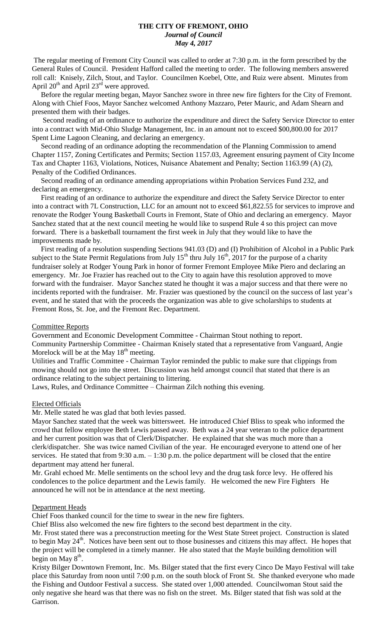# **THE CITY OF FREMONT, OHIO** *Journal of Council May 4, 2017*

The regular meeting of Fremont City Council was called to order at 7:30 p.m. in the form prescribed by the General Rules of Council. President Hafford called the meeting to order. The following members answered roll call: Knisely, Zilch, Stout, and Taylor. Councilmen Koebel, Otte, and Ruiz were absent. Minutes from April  $20<sup>th</sup>$  and April  $23<sup>rd</sup>$  were approved.

 Before the regular meeting began, Mayor Sanchez swore in three new fire fighters for the City of Fremont. Along with Chief Foos, Mayor Sanchez welcomed Anthony Mazzaro, Peter Mauric, and Adam Shearn and presented them with their badges.

 Second reading of an ordinance to authorize the expenditure and direct the Safety Service Director to enter into a contract with Mid-Ohio Sludge Management, Inc. in an amount not to exceed \$00,800.00 for 2017 Spent Lime Lagoon Cleaning, and declaring an emergency.

 Second reading of an ordinance adopting the recommendation of the Planning Commission to amend Chapter 1157, Zoning Certificates and Permits; Section 1157.03, Agreement ensuring payment of City Income Tax and Chapter 1163, Violations, Notices, Nuisance Abatement and Penalty; Section 1163.99 (A) (2), Penalty of the Codified Ordinances.

 Second reading of an ordinance amending appropriations within Probation Services Fund 232, and declaring an emergency.

 First reading of an ordinance to authorize the expenditure and direct the Safety Service Director to enter into a contract with 7L Construction, LLC for an amount not to exceed \$61,822.55 for services to improve and renovate the Rodger Young Basketball Courts in Fremont, State of Ohio and declaring an emergency. Mayor Sanchez stated that at the next council meeting he would like to suspend Rule 4 so this project can move forward. There is a basketball tournament the first week in July that they would like to have the improvements made by.

 First reading of a resolution suspending Sections 941.03 (D) and (I) Prohibition of Alcohol in a Public Park subject to the State Permit Regulations from July  $15^{th}$  thru July  $16^{th}$ , 2017 for the purpose of a charity fundraiser solely at Rodger Young Park in honor of former Fremont Employee Mike Piero and declaring an emergency. Mr. Joe Frazier has reached out to the City to again have this resolution approved to move forward with the fundraiser. Mayor Sanchez stated he thought it was a major success and that there were no incidents reported with the fundraiser. Mr. Frazier was questioned by the council on the success of last year's event, and he stated that with the proceeds the organization was able to give scholarships to students at Fremont Ross, St. Joe, and the Fremont Rec. Department.

### Committee Reports

Government and Economic Development Committee - Chairman Stout nothing to report. Community Partnership Committee - Chairman Knisely stated that a representative from Vanguard, Angie Morelock will be at the May  $18<sup>th</sup>$  meeting.

Utilities and Traffic Committee - Chairman Taylor reminded the public to make sure that clippings from mowing should not go into the street. Discussion was held amongst council that stated that there is an ordinance relating to the subject pertaining to littering.

Laws, Rules, and Ordinance Committee – Chairman Zilch nothing this evening.

### Elected Officials

Mr. Melle stated he was glad that both levies passed.

Mayor Sanchez stated that the week was bittersweet. He introduced Chief Bliss to speak who informed the crowd that fellow employee Beth Lewis passed away. Beth was a 24 year veteran to the police department and her current position was that of Clerk/Dispatcher. He explained that she was much more than a clerk/dispatcher. She was twice named Civilian of the year. He encouraged everyone to attend one of her services. He stated that from 9:30 a.m.  $-1:30$  p.m. the police department will be closed that the entire department may attend her funeral.

Mr. Grahl echoed Mr. Melle sentiments on the school levy and the drug task force levy. He offered his condolences to the police department and the Lewis family. He welcomed the new Fire Fighters He announced he will not be in attendance at the next meeting.

### Department Heads

Chief Foos thanked council for the time to swear in the new fire fighters.

Chief Bliss also welcomed the new fire fighters to the second best department in the city.

Mr. Frost stated there was a preconstruction meeting for the West State Street project. Construction is slated to begin May 24<sup>th</sup>. Notices have been sent out to those businesses and citizens this may affect. He hopes that the project will be completed in a timely manner. He also stated that the Mayle building demolition will begin on May  $8^{\text{th}}$ .

Kristy Bilger Downtown Fremont, Inc. Ms. Bilger stated that the first every Cinco De Mayo Festival will take place this Saturday from noon until 7:00 p.m. on the south block of Front St. She thanked everyone who made the Fishing and Outdoor Festival a success. She stated over 1,000 attended. Councilwoman Stout said the only negative she heard was that there was no fish on the street. Ms. Bilger stated that fish was sold at the Garrison.